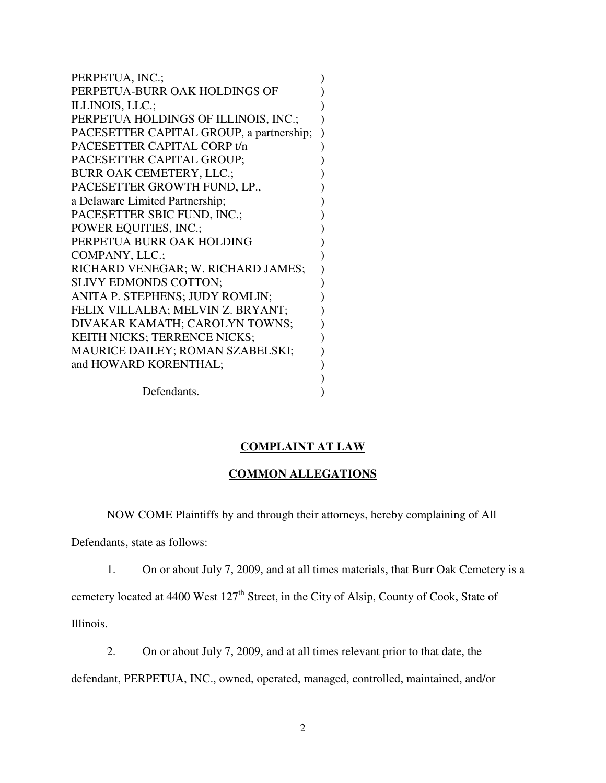PERPETUA, INC.;  $\qquad \qquad$  ) PERPETUA-BURR OAK HOLDINGS OF  $\hspace{1.5cm}$ ILLINOIS, LLC.;  $\qquad \qquad$  ) PERPETUA HOLDINGS OF ILLINOIS, INC.; ) PACESETTER CAPITAL GROUP, a partnership; ) PACESETTER CAPITAL CORP t/n  $($ PACESETTER CAPITAL GROUP; BURR OAK CEMETERY, LLC.; PACESETTER GROWTH FUND, LP., a Delaware Limited Partnership; ) PACESETTER SBIC FUND, INC.; POWER EQUITIES, INC.; PERPETUA BURR OAK HOLDING  $($ COMPANY, LLC.; RICHARD VENEGAR; W. RICHARD JAMES; ) SLIVY EDMONDS COTTON; ANITA P. STEPHENS; JUDY ROMLIN; FELIX VILLALBA; MELVIN Z. BRYANT; DIVAKAR KAMATH; CAROLYN TOWNS; ) KEITH NICKS; TERRENCE NICKS;  $($ MAURICE DAILEY; ROMAN SZABELSKI; ) and HOWARD KORENTHAL;  $($  $)$ 

Defendants.

# **COMPLAINT AT LAW**

### **COMMON ALLEGATIONS**

NOW COME Plaintiffs by and through their attorneys, hereby complaining of All

Defendants, state as follows:

1. On or about July 7, 2009, and at all times materials, that Burr Oak Cemetery is a

cemetery located at 4400 West  $127<sup>th</sup>$  Street, in the City of Alsip, County of Cook, State of

Illinois.

2. On or about July 7, 2009, and at all times relevant prior to that date, the defendant, PERPETUA, INC., owned, operated, managed, controlled, maintained, and/or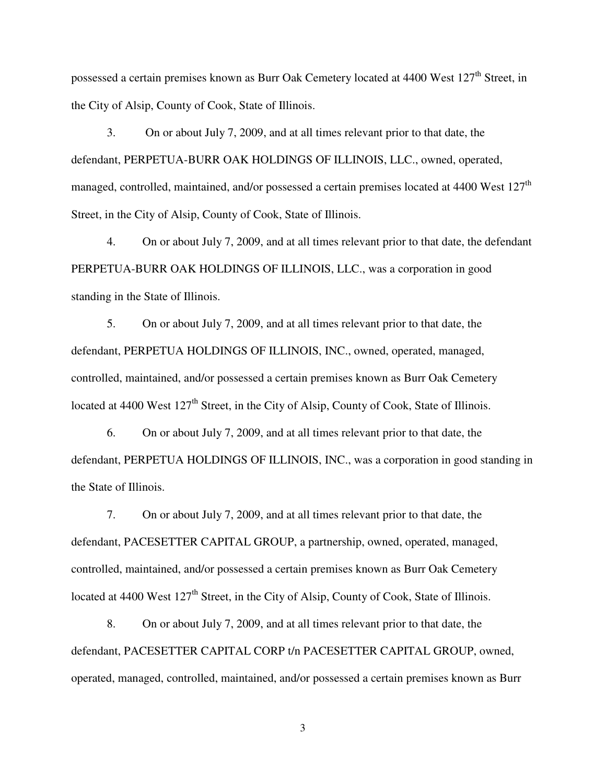possessed a certain premises known as Burr Oak Cemetery located at 4400 West 127<sup>th</sup> Street, in the City of Alsip, County of Cook, State of Illinois.

 3. On or about July 7, 2009, and at all times relevant prior to that date, the defendant, PERPETUA-BURR OAK HOLDINGS OF ILLINOIS, LLC., owned, operated, managed, controlled, maintained, and/or possessed a certain premises located at 4400 West 127<sup>th</sup> Street, in the City of Alsip, County of Cook, State of Illinois.

 4. On or about July 7, 2009, and at all times relevant prior to that date, the defendant PERPETUA-BURR OAK HOLDINGS OF ILLINOIS, LLC., was a corporation in good standing in the State of Illinois.

 5. On or about July 7, 2009, and at all times relevant prior to that date, the defendant, PERPETUA HOLDINGS OF ILLINOIS, INC., owned, operated, managed, controlled, maintained, and/or possessed a certain premises known as Burr Oak Cemetery located at 4400 West  $127<sup>th</sup>$  Street, in the City of Alsip, County of Cook, State of Illinois.

 6. On or about July 7, 2009, and at all times relevant prior to that date, the defendant, PERPETUA HOLDINGS OF ILLINOIS, INC., was a corporation in good standing in the State of Illinois.

 7. On or about July 7, 2009, and at all times relevant prior to that date, the defendant, PACESETTER CAPITAL GROUP, a partnership, owned, operated, managed, controlled, maintained, and/or possessed a certain premises known as Burr Oak Cemetery located at 4400 West 127<sup>th</sup> Street, in the City of Alsip, County of Cook, State of Illinois.

 8. On or about July 7, 2009, and at all times relevant prior to that date, the defendant, PACESETTER CAPITAL CORP t/n PACESETTER CAPITAL GROUP, owned, operated, managed, controlled, maintained, and/or possessed a certain premises known as Burr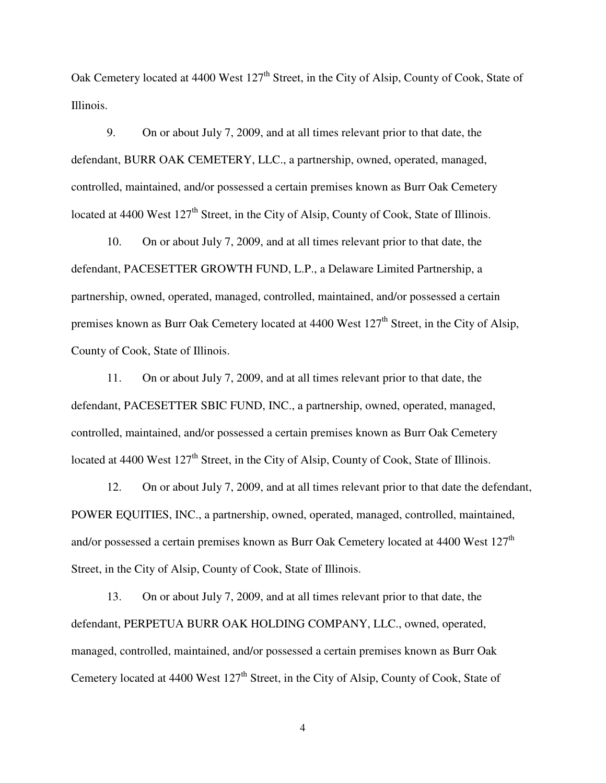Oak Cemetery located at 4400 West 127<sup>th</sup> Street, in the City of Alsip, County of Cook, State of Illinois.

 9. On or about July 7, 2009, and at all times relevant prior to that date, the defendant, BURR OAK CEMETERY, LLC., a partnership, owned, operated, managed, controlled, maintained, and/or possessed a certain premises known as Burr Oak Cemetery located at 4400 West  $127<sup>th</sup>$  Street, in the City of Alsip, County of Cook, State of Illinois.

 10. On or about July 7, 2009, and at all times relevant prior to that date, the defendant, PACESETTER GROWTH FUND, L.P., a Delaware Limited Partnership, a partnership, owned, operated, managed, controlled, maintained, and/or possessed a certain premises known as Burr Oak Cemetery located at 4400 West 127<sup>th</sup> Street, in the City of Alsip, County of Cook, State of Illinois.

 11. On or about July 7, 2009, and at all times relevant prior to that date, the defendant, PACESETTER SBIC FUND, INC., a partnership, owned, operated, managed, controlled, maintained, and/or possessed a certain premises known as Burr Oak Cemetery located at 4400 West  $127<sup>th</sup>$  Street, in the City of Alsip, County of Cook, State of Illinois.

 12. On or about July 7, 2009, and at all times relevant prior to that date the defendant, POWER EQUITIES, INC., a partnership, owned, operated, managed, controlled, maintained, and/or possessed a certain premises known as Burr Oak Cemetery located at 4400 West 127<sup>th</sup> Street, in the City of Alsip, County of Cook, State of Illinois.

 13. On or about July 7, 2009, and at all times relevant prior to that date, the defendant, PERPETUA BURR OAK HOLDING COMPANY, LLC., owned, operated, managed, controlled, maintained, and/or possessed a certain premises known as Burr Oak Cemetery located at 4400 West 127<sup>th</sup> Street, in the City of Alsip, County of Cook, State of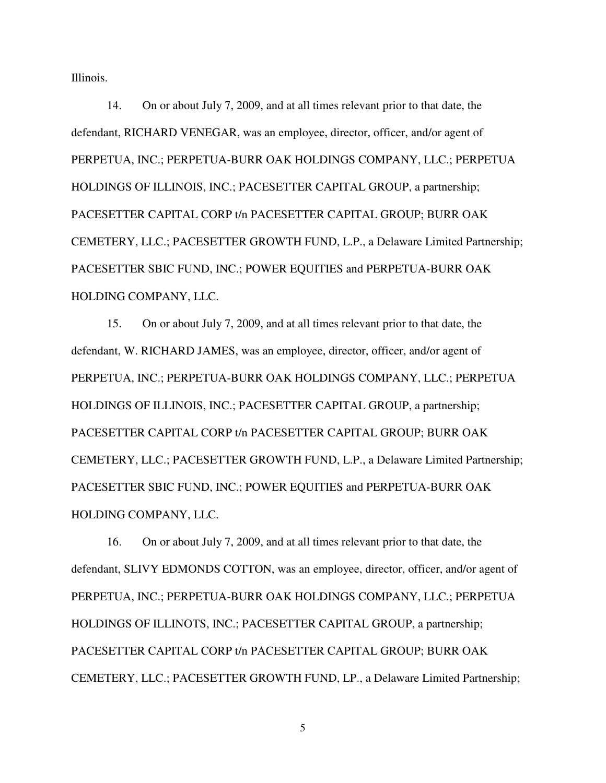Illinois.

 14. On or about July 7, 2009, and at all times relevant prior to that date, the defendant, RICHARD VENEGAR, was an employee, director, officer, and/or agent of PERPETUA, INC.; PERPETUA-BURR OAK HOLDINGS COMPANY, LLC.; PERPETUA HOLDINGS OF ILLINOIS, INC.; PACESETTER CAPITAL GROUP, a partnership; PACESETTER CAPITAL CORP t/n PACESETTER CAPITAL GROUP; BURR OAK CEMETERY, LLC.; PACESETTER GROWTH FUND, L.P., a Delaware Limited Partnership; PACESETTER SBIC FUND, INC.; POWER EQUITIES and PERPETUA-BURR OAK HOLDING COMPANY, LLC.

 15. On or about July 7, 2009, and at all times relevant prior to that date, the defendant, W. RICHARD JAMES, was an employee, director, officer, and/or agent of PERPETUA, INC.; PERPETUA-BURR OAK HOLDINGS COMPANY, LLC.; PERPETUA HOLDINGS OF ILLINOIS, INC.; PACESETTER CAPITAL GROUP, a partnership; PACESETTER CAPITAL CORP t/n PACESETTER CAPITAL GROUP; BURR OAK CEMETERY, LLC.; PACESETTER GROWTH FUND, L.P., a Delaware Limited Partnership; PACESETTER SBIC FUND, INC.; POWER EQUITIES and PERPETUA-BURR OAK HOLDING COMPANY, LLC.

 16. On or about July 7, 2009, and at all times relevant prior to that date, the defendant, SLIVY EDMONDS COTTON, was an employee, director, officer, and/or agent of PERPETUA, INC.; PERPETUA-BURR OAK HOLDINGS COMPANY, LLC.; PERPETUA HOLDINGS OF ILLINOTS, INC.; PACESETTER CAPITAL GROUP, a partnership; PACESETTER CAPITAL CORP t/n PACESETTER CAPITAL GROUP; BURR OAK CEMETERY, LLC.; PACESETTER GROWTH FUND, LP., a Delaware Limited Partnership;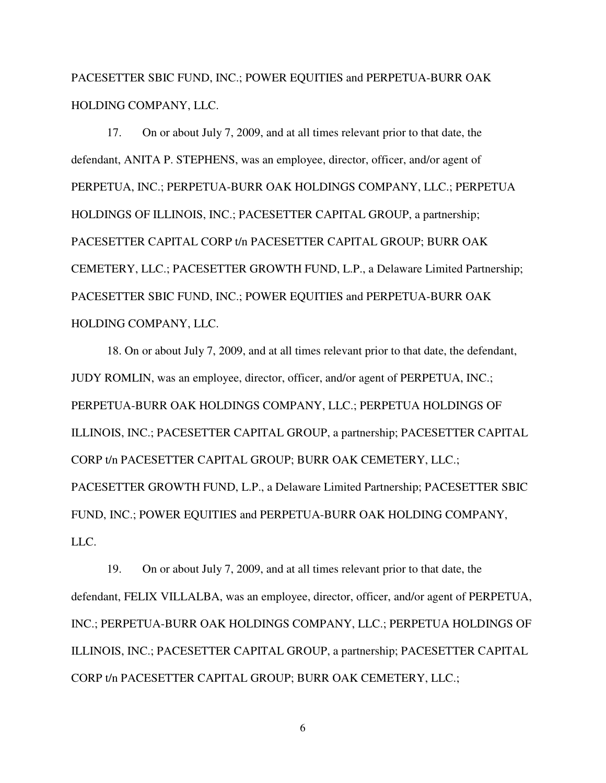PACESETTER SBIC FUND, INC.; POWER EQUITIES and PERPETUA-BURR OAK HOLDING COMPANY, LLC.

 17. On or about July 7, 2009, and at all times relevant prior to that date, the defendant, ANITA P. STEPHENS, was an employee, director, officer, and/or agent of PERPETUA, INC.; PERPETUA-BURR OAK HOLDINGS COMPANY, LLC.; PERPETUA HOLDINGS OF ILLINOIS, INC.; PACESETTER CAPITAL GROUP, a partnership; PACESETTER CAPITAL CORP t/n PACESETTER CAPITAL GROUP; BURR OAK CEMETERY, LLC.; PACESETTER GROWTH FUND, L.P., a Delaware Limited Partnership; PACESETTER SBIC FUND, INC.; POWER EQUITIES and PERPETUA-BURR OAK HOLDING COMPANY, LLC.

 18. On or about July 7, 2009, and at all times relevant prior to that date, the defendant, JUDY ROMLIN, was an employee, director, officer, and/or agent of PERPETUA, INC.; PERPETUA-BURR OAK HOLDINGS COMPANY, LLC.; PERPETUA HOLDINGS OF ILLINOIS, INC.; PACESETTER CAPITAL GROUP, a partnership; PACESETTER CAPITAL CORP t/n PACESETTER CAPITAL GROUP; BURR OAK CEMETERY, LLC.; PACESETTER GROWTH FUND, L.P., a Delaware Limited Partnership; PACESETTER SBIC FUND, INC.; POWER EQUITIES and PERPETUA-BURR OAK HOLDING COMPANY, LLC.

 19. On or about July 7, 2009, and at all times relevant prior to that date, the defendant, FELIX VILLALBA, was an employee, director, officer, and/or agent of PERPETUA, INC.; PERPETUA-BURR OAK HOLDINGS COMPANY, LLC.; PERPETUA HOLDINGS OF ILLINOIS, INC.; PACESETTER CAPITAL GROUP, a partnership; PACESETTER CAPITAL CORP t/n PACESETTER CAPITAL GROUP; BURR OAK CEMETERY, LLC.;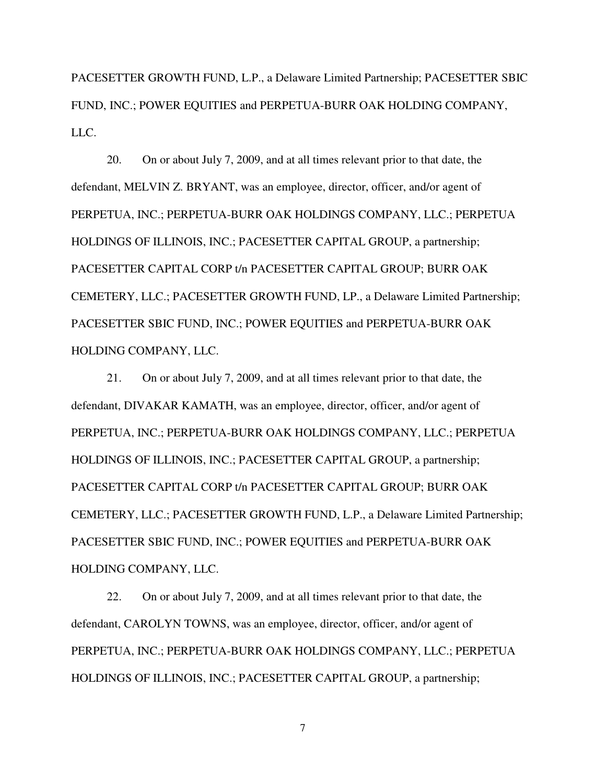PACESETTER GROWTH FUND, L.P., a Delaware Limited Partnership; PACESETTER SBIC FUND, INC.; POWER EQUITIES and PERPETUA-BURR OAK HOLDING COMPANY, LLC.

 20. On or about July 7, 2009, and at all times relevant prior to that date, the defendant, MELVIN Z. BRYANT, was an employee, director, officer, and/or agent of PERPETUA, INC.; PERPETUA-BURR OAK HOLDINGS COMPANY, LLC.; PERPETUA HOLDINGS OF ILLINOIS, INC.; PACESETTER CAPITAL GROUP, a partnership; PACESETTER CAPITAL CORP t/n PACESETTER CAPITAL GROUP; BURR OAK CEMETERY, LLC.; PACESETTER GROWTH FUND, LP., a Delaware Limited Partnership; PACESETTER SBIC FUND, INC.; POWER EQUITIES and PERPETUA-BURR OAK HOLDING COMPANY, LLC.

 21. On or about July 7, 2009, and at all times relevant prior to that date, the defendant, DIVAKAR KAMATH, was an employee, director, officer, and/or agent of PERPETUA, INC.; PERPETUA-BURR OAK HOLDINGS COMPANY, LLC.; PERPETUA HOLDINGS OF ILLINOIS, INC.; PACESETTER CAPITAL GROUP, a partnership; PACESETTER CAPITAL CORP t/n PACESETTER CAPITAL GROUP; BURR OAK CEMETERY, LLC.; PACESETTER GROWTH FUND, L.P., a Delaware Limited Partnership; PACESETTER SBIC FUND, INC.; POWER EQUITIES and PERPETUA-BURR OAK HOLDING COMPANY, LLC.

 22. On or about July 7, 2009, and at all times relevant prior to that date, the defendant, CAROLYN TOWNS, was an employee, director, officer, and/or agent of PERPETUA, INC.; PERPETUA-BURR OAK HOLDINGS COMPANY, LLC.; PERPETUA HOLDINGS OF ILLINOIS, INC.; PACESETTER CAPITAL GROUP, a partnership;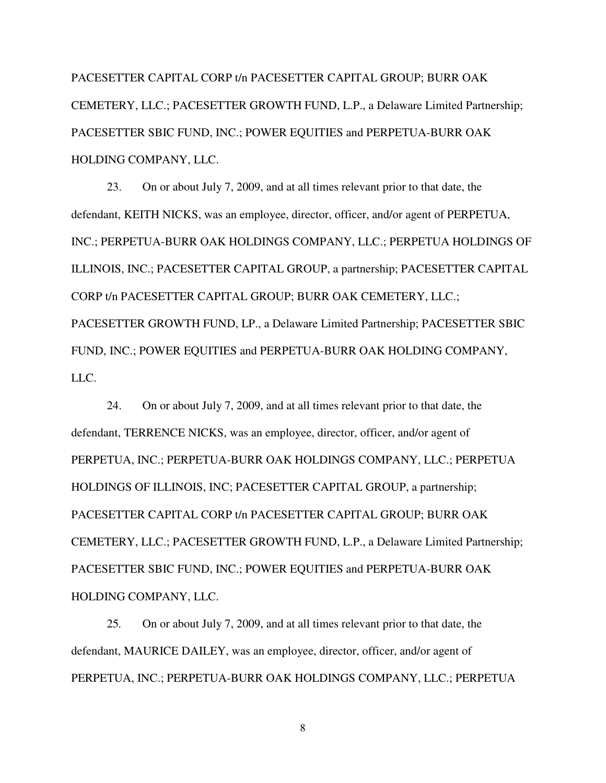PACESETTER CAPITAL CORP t/n PACESETTER CAPITAL GROUP; BURR OAK CEMETERY, LLC.; PACESETTER GROWTH FUND, L.P., a Delaware Limited Partnership; PACESETTER SBIC FUND, INC.; POWER EQUITIES and PERPETUA-BURR OAK HOLDING COMPANY, LLC.

 23. On or about July 7, 2009, and at all times relevant prior to that date, the defendant, KEITH NICKS, was an employee, director, officer, and/or agent of PERPETUA, INC.; PERPETUA-BURR OAK HOLDINGS COMPANY, LLC.; PERPETUA HOLDINGS OF ILLINOIS, INC.; PACESETTER CAPITAL GROUP, a partnership; PACESETTER CAPITAL CORP t/n PACESETTER CAPITAL GROUP; BURR OAK CEMETERY, LLC.; PACESETTER GROWTH FUND, LP., a Delaware Limited Partnership; PACESETTER SBIC FUND, INC.; POWER EQUITIES and PERPETUA-BURR OAK HOLDING COMPANY, LLC.

 24. On or about July 7, 2009, and at all times relevant prior to that date, the defendant, TERRENCE NICKS, was an employee, director, officer, and/or agent of PERPETUA, INC.; PERPETUA-BURR OAK HOLDINGS COMPANY, LLC.; PERPETUA HOLDINGS OF ILLINOIS, INC; PACESETTER CAPITAL GROUP, a partnership; PACESETTER CAPITAL CORP t/n PACESETTER CAPITAL GROUP; BURR OAK CEMETERY, LLC.; PACESETTER GROWTH FUND, L.P., a Delaware Limited Partnership; PACESETTER SBIC FUND, INC.; POWER EQUITIES and PERPETUA-BURR OAK HOLDING COMPANY, LLC.

 25*.* On or about July 7, 2009, and at all times relevant prior to that date, the defendant, MAURICE DAILEY, was an employee, director, officer, and/or agent of PERPETUA, INC.; PERPETUA-BURR OAK HOLDINGS COMPANY, LLC.; PERPETUA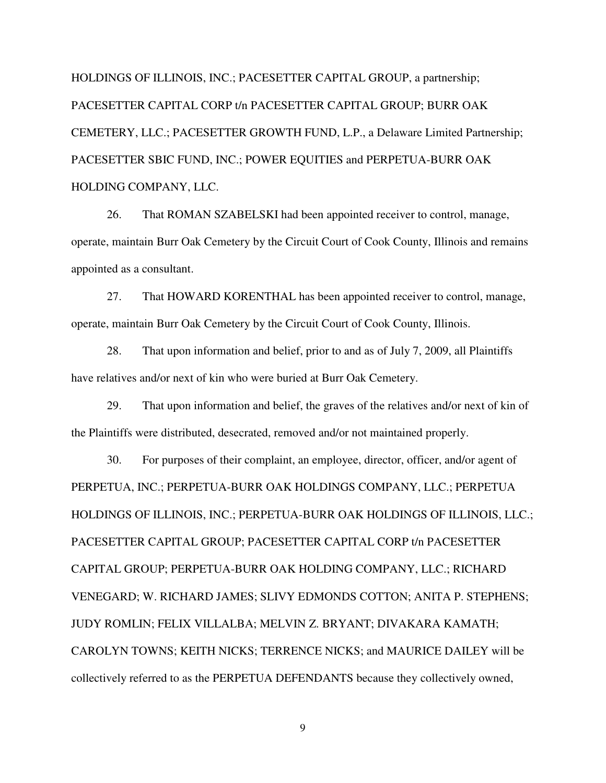HOLDINGS OF ILLINOIS, INC.; PACESETTER CAPITAL GROUP, a partnership; PACESETTER CAPITAL CORP t/n PACESETTER CAPITAL GROUP; BURR OAK CEMETERY, LLC.; PACESETTER GROWTH FUND, L.P., a Delaware Limited Partnership; PACESETTER SBIC FUND, INC.; POWER EQUITIES and PERPETUA-BURR OAK HOLDING COMPANY, LLC.

 26. That ROMAN SZABELSKI had been appointed receiver to control, manage, operate, maintain Burr Oak Cemetery by the Circuit Court of Cook County, Illinois and remains appointed as a consultant.

27. That HOWARD KORENTHAL has been appointed receiver to control, manage, operate, maintain Burr Oak Cemetery by the Circuit Court of Cook County, Illinois.

 28. That upon information and belief, prior to and as of July 7, 2009, all Plaintiffs have relatives and/or next of kin who were buried at Burr Oak Cemetery.

 29. That upon information and belief, the graves of the relatives and/or next of kin of the Plaintiffs were distributed, desecrated, removed and/or not maintained properly.

 30. For purposes of their complaint, an employee, director, officer, and/or agent of PERPETUA, INC.; PERPETUA-BURR OAK HOLDINGS COMPANY, LLC.; PERPETUA HOLDINGS OF ILLINOIS, INC.; PERPETUA-BURR OAK HOLDINGS OF ILLINOIS, LLC.; PACESETTER CAPITAL GROUP; PACESETTER CAPITAL CORP t/n PACESETTER CAPITAL GROUP; PERPETUA-BURR OAK HOLDING COMPANY, LLC.; RICHARD VENEGARD; W. RICHARD JAMES; SLIVY EDMONDS COTTON; ANITA P. STEPHENS; JUDY ROMLIN; FELIX VILLALBA; MELVIN Z. BRYANT; DIVAKARA KAMATH; CAROLYN TOWNS; KEITH NICKS; TERRENCE NICKS; and MAURICE DAILEY will be collectively referred to as the PERPETUA DEFENDANTS because they collectively owned,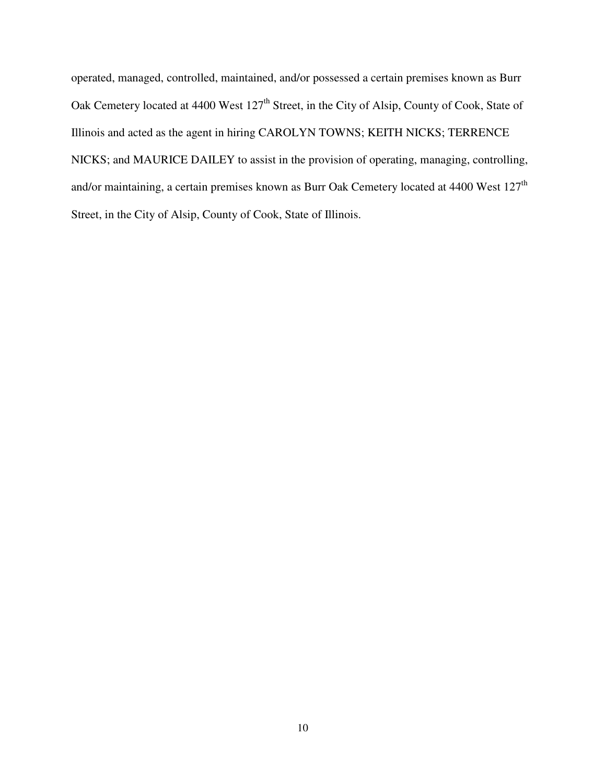operated, managed, controlled, maintained, and/or possessed a certain premises known as Burr Oak Cemetery located at 4400 West 127<sup>th</sup> Street, in the City of Alsip, County of Cook, State of Illinois and acted as the agent in hiring CAROLYN TOWNS; KEITH NICKS; TERRENCE NICKS; and MAURICE DAILEY to assist in the provision of operating, managing, controlling, and/or maintaining, a certain premises known as Burr Oak Cemetery located at 4400 West 127<sup>th</sup> Street, in the City of Alsip, County of Cook, State of Illinois.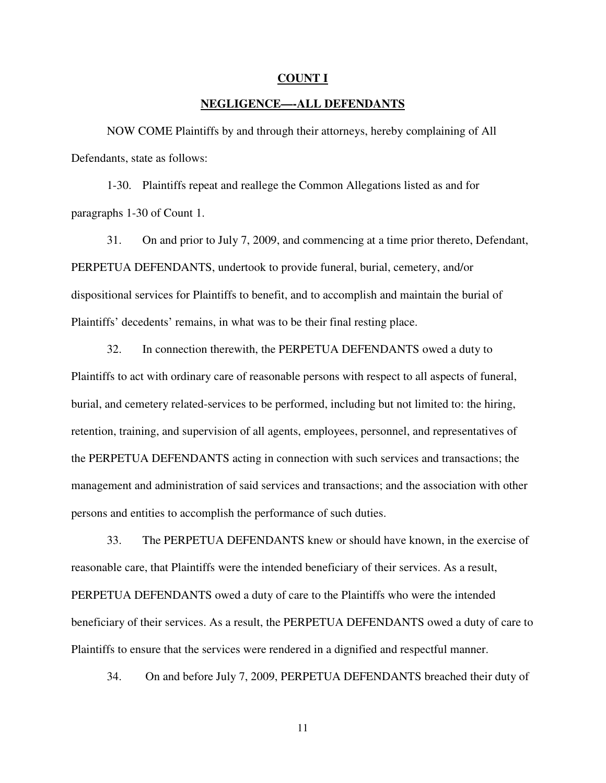#### **COUNT I**

### **NEGLIGENCE—-ALL DEFENDANTS**

NOW COME Plaintiffs by and through their attorneys, hereby complaining of All Defendants, state as follows:

 1-30. Plaintiffs repeat and reallege the Common Allegations listed as and for paragraphs 1-30 of Count 1.

 31. On and prior to July 7, 2009, and commencing at a time prior thereto, Defendant, PERPETUA DEFENDANTS, undertook to provide funeral, burial, cemetery, and/or dispositional services for Plaintiffs to benefit, and to accomplish and maintain the burial of Plaintiffs' decedents' remains, in what was to be their final resting place.

 32. In connection therewith, the PERPETUA DEFENDANTS owed a duty to Plaintiffs to act with ordinary care of reasonable persons with respect to all aspects of funeral, burial, and cemetery related-services to be performed, including but not limited to: the hiring, retention, training, and supervision of all agents, employees, personnel, and representatives of the PERPETUA DEFENDANTS acting in connection with such services and transactions; the management and administration of said services and transactions; and the association with other persons and entities to accomplish the performance of such duties.

 33. The PERPETUA DEFENDANTS knew or should have known, in the exercise of reasonable care, that Plaintiffs were the intended beneficiary of their services. As a result, PERPETUA DEFENDANTS owed a duty of care to the Plaintiffs who were the intended beneficiary of their services. As a result, the PERPETUA DEFENDANTS owed a duty of care to Plaintiffs to ensure that the services were rendered in a dignified and respectful manner.

34. On and before July 7, 2009, PERPETUA DEFENDANTS breached their duty of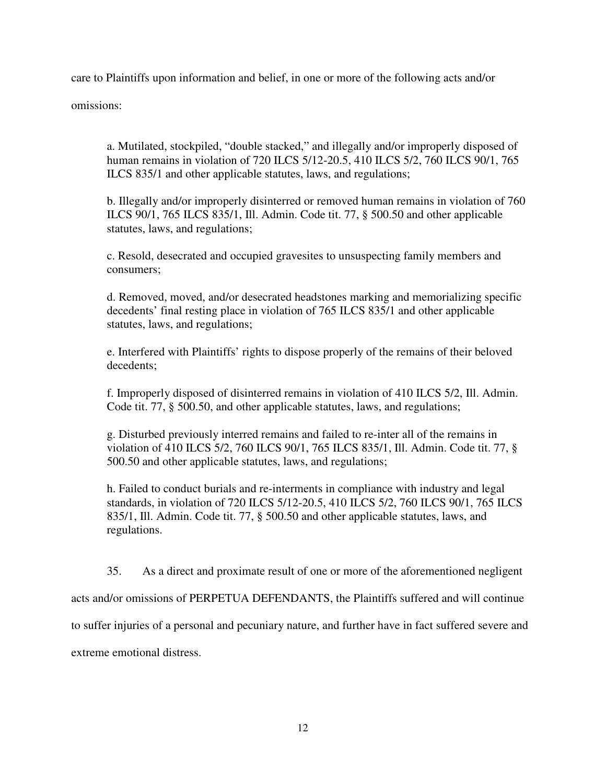care to Plaintiffs upon information and belief, in one or more of the following acts and/or

omissions:

a. Mutilated, stockpiled, "double stacked," and illegally and/or improperly disposed of human remains in violation of 720 ILCS 5/12-20.5, 410 ILCS 5/2, 760 ILCS 90/1, 765 ILCS 835/1 and other applicable statutes, laws, and regulations;

b. Illegally and/or improperly disinterred or removed human remains in violation of 760 ILCS 90/1, 765 ILCS 835/1, Ill. Admin. Code tit. 77, § 500.50 and other applicable statutes, laws, and regulations;

c. Resold, desecrated and occupied gravesites to unsuspecting family members and consumers;

d. Removed, moved, and/or desecrated headstones marking and memorializing specific decedents' final resting place in violation of 765 ILCS 835/1 and other applicable statutes, laws, and regulations;

e. Interfered with Plaintiffs' rights to dispose properly of the remains of their beloved decedents;

f. Improperly disposed of disinterred remains in violation of 410 ILCS 5/2, Ill. Admin. Code tit. 77, § 500.50, and other applicable statutes, laws, and regulations;

g. Disturbed previously interred remains and failed to re-inter all of the remains in violation of 410 ILCS 5/2, 760 ILCS 90/1, 765 ILCS 835/1, Ill. Admin. Code tit. 77, § 500.50 and other applicable statutes, laws, and regulations;

h. Failed to conduct burials and re-interments in compliance with industry and legal standards, in violation of 720 ILCS 5/12-20.5, 410 ILCS 5/2, 760 ILCS 90/1, 765 ILCS 835/1, Ill. Admin. Code tit. 77, § 500.50 and other applicable statutes, laws, and regulations.

35. As a direct and proximate result of one or more of the aforementioned negligent

acts and/or omissions of PERPETUA DEFENDANTS, the Plaintiffs suffered and will continue

to suffer injuries of a personal and pecuniary nature, and further have in fact suffered severe and

extreme emotional distress.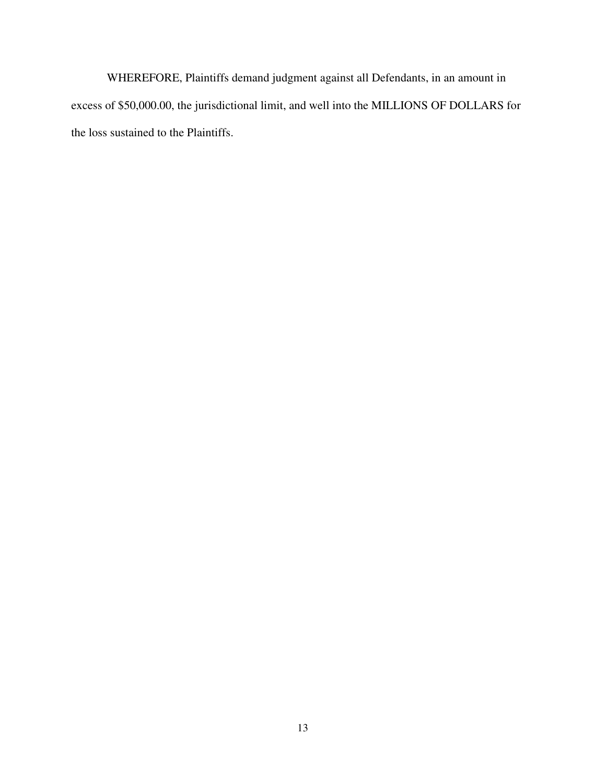WHEREFORE, Plaintiffs demand judgment against all Defendants, in an amount in excess of \$50,000.00, the jurisdictional limit, and well into the MILLIONS OF DOLLARS for the loss sustained to the Plaintiffs.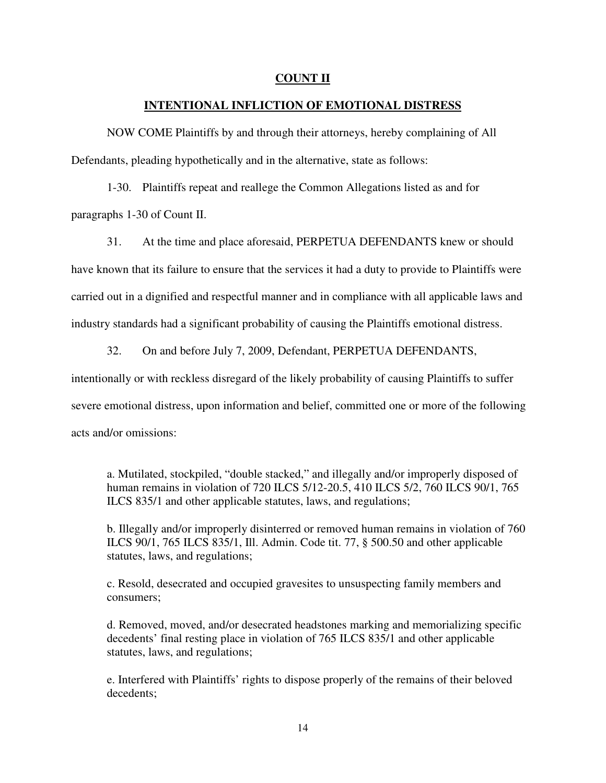## **COUNT II**

## **INTENTIONAL INFLICTION OF EMOTIONAL DISTRESS**

 NOW COME Plaintiffs by and through their attorneys, hereby complaining of All Defendants, pleading hypothetically and in the alternative, state as follows:

 1-30. Plaintiffs repeat and reallege the Common Allegations listed as and for paragraphs 1-30 of Count II.

 31. At the time and place aforesaid, PERPETUA DEFENDANTS knew or should have known that its failure to ensure that the services it had a duty to provide to Plaintiffs were carried out in a dignified and respectful manner and in compliance with all applicable laws and industry standards had a significant probability of causing the Plaintiffs emotional distress.

32. On and before July 7, 2009, Defendant, PERPETUA DEFENDANTS,

intentionally or with reckless disregard of the likely probability of causing Plaintiffs to suffer severe emotional distress, upon information and belief, committed one or more of the following acts and/or omissions:

a. Mutilated, stockpiled, "double stacked," and illegally and/or improperly disposed of human remains in violation of 720 ILCS 5/12-20.5, 410 ILCS 5/2, 760 ILCS 90/1, 765 ILCS 835/1 and other applicable statutes, laws, and regulations;

b. Illegally and/or improperly disinterred or removed human remains in violation of 760 ILCS 90/1, 765 ILCS 835/1, Ill. Admin. Code tit. 77, § 500.50 and other applicable statutes, laws, and regulations;

c. Resold, desecrated and occupied gravesites to unsuspecting family members and consumers;

d. Removed, moved, and/or desecrated headstones marking and memorializing specific decedents' final resting place in violation of 765 ILCS 835/1 and other applicable statutes, laws, and regulations;

e. Interfered with Plaintiffs' rights to dispose properly of the remains of their beloved decedents;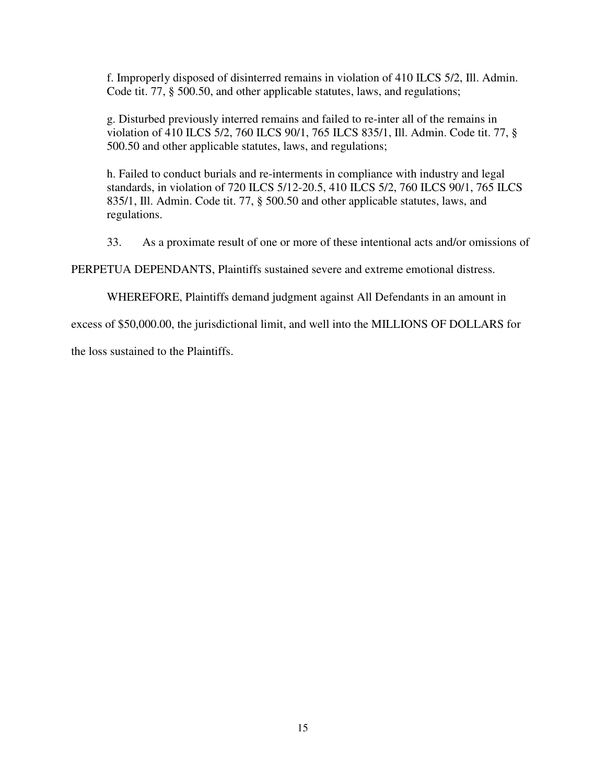f. Improperly disposed of disinterred remains in violation of 410 ILCS 5/2, Ill. Admin. Code tit. 77, § 500.50, and other applicable statutes, laws, and regulations;

g. Disturbed previously interred remains and failed to re-inter all of the remains in violation of 410 ILCS 5/2, 760 ILCS 90/1, 765 ILCS 835/1, Ill. Admin. Code tit. 77, § 500.50 and other applicable statutes, laws, and regulations;

h. Failed to conduct burials and re-interments in compliance with industry and legal standards, in violation of 720 ILCS 5/12-20.5, 410 ILCS 5/2, 760 ILCS 90/1, 765 ILCS 835/1, Ill. Admin. Code tit. 77, § 500.50 and other applicable statutes, laws, and regulations.

33. As a proximate result of one or more of these intentional acts and/or omissions of

PERPETUA DEPENDANTS, Plaintiffs sustained severe and extreme emotional distress.

WHEREFORE, Plaintiffs demand judgment against All Defendants in an amount in

excess of \$50,000.00, the jurisdictional limit, and well into the MILLIONS OF DOLLARS for

the loss sustained to the Plaintiffs.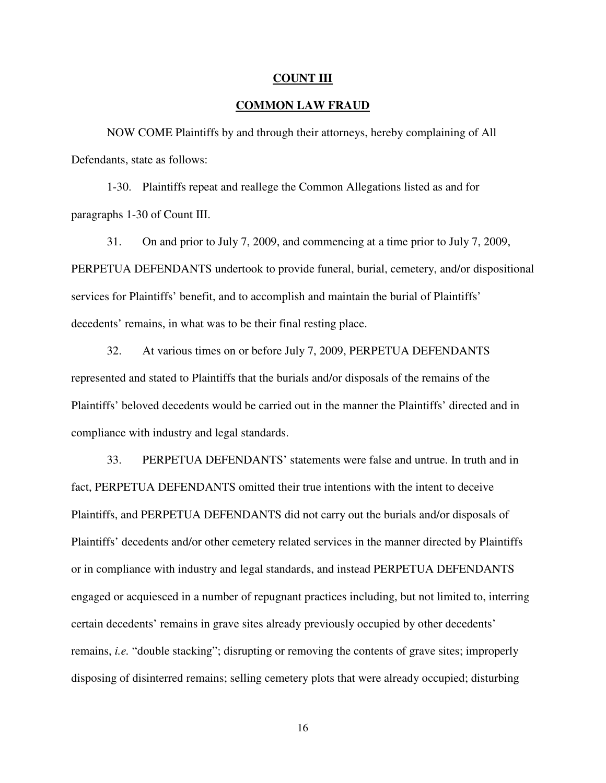#### **COUNT III**

## **COMMON LAW FRAUD**

 NOW COME Plaintiffs by and through their attorneys, hereby complaining of All Defendants, state as follows:

 1-30. Plaintiffs repeat and reallege the Common Allegations listed as and for paragraphs 1-30 of Count III.

 31. On and prior to July 7, 2009, and commencing at a time prior to July 7, 2009, PERPETUA DEFENDANTS undertook to provide funeral, burial, cemetery, and/or dispositional services for Plaintiffs' benefit, and to accomplish and maintain the burial of Plaintiffs' decedents' remains, in what was to be their final resting place.

 32. At various times on or before July 7, 2009, PERPETUA DEFENDANTS represented and stated to Plaintiffs that the burials and/or disposals of the remains of the Plaintiffs' beloved decedents would be carried out in the manner the Plaintiffs' directed and in compliance with industry and legal standards.

 33. PERPETUA DEFENDANTS' statements were false and untrue. In truth and in fact, PERPETUA DEFENDANTS omitted their true intentions with the intent to deceive Plaintiffs, and PERPETUA DEFENDANTS did not carry out the burials and/or disposals of Plaintiffs' decedents and/or other cemetery related services in the manner directed by Plaintiffs or in compliance with industry and legal standards, and instead PERPETUA DEFENDANTS engaged or acquiesced in a number of repugnant practices including, but not limited to, interring certain decedents' remains in grave sites already previously occupied by other decedents' remains, *i.e.* "double stacking"; disrupting or removing the contents of grave sites; improperly disposing of disinterred remains; selling cemetery plots that were already occupied; disturbing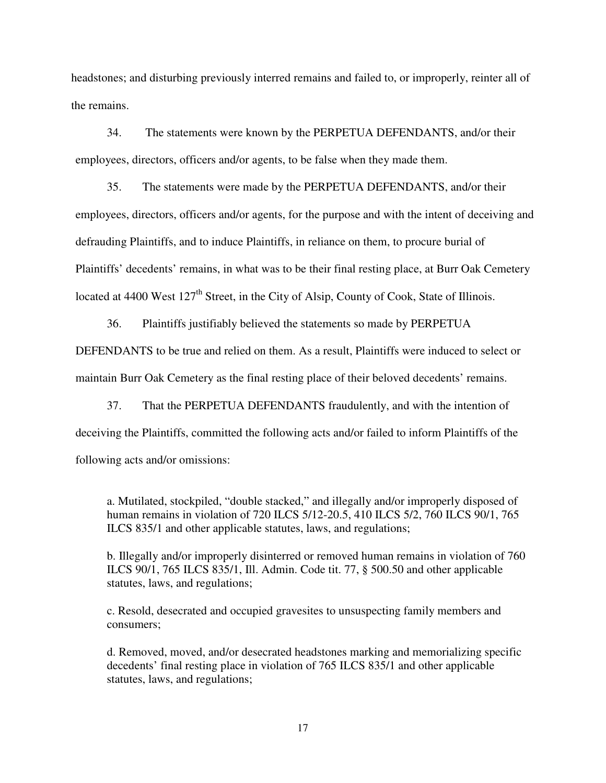headstones; and disturbing previously interred remains and failed to, or improperly, reinter all of the remains.

 34. The statements were known by the PERPETUA DEFENDANTS, and/or their employees, directors, officers and/or agents, to be false when they made them.

 35. The statements were made by the PERPETUA DEFENDANTS, and/or their employees, directors, officers and/or agents, for the purpose and with the intent of deceiving and defrauding Plaintiffs, and to induce Plaintiffs, in reliance on them, to procure burial of Plaintiffs' decedents' remains, in what was to be their final resting place, at Burr Oak Cemetery located at 4400 West 127<sup>th</sup> Street, in the City of Alsip, County of Cook, State of Illinois.

 36. Plaintiffs justifiably believed the statements so made by PERPETUA DEFENDANTS to be true and relied on them. As a result, Plaintiffs were induced to select or maintain Burr Oak Cemetery as the final resting place of their beloved decedents' remains.

 37. That the PERPETUA DEFENDANTS fraudulently, and with the intention of deceiving the Plaintiffs, committed the following acts and/or failed to inform Plaintiffs of the following acts and/or omissions:

a. Mutilated, stockpiled, "double stacked," and illegally and/or improperly disposed of human remains in violation of 720 ILCS 5/12-20.5, 410 ILCS 5/2, 760 ILCS 90/1, 765 ILCS 835/1 and other applicable statutes, laws, and regulations;

b. Illegally and/or improperly disinterred or removed human remains in violation of 760 ILCS 90/1, 765 ILCS 835/1, Ill. Admin. Code tit. 77, § 500.50 and other applicable statutes, laws, and regulations;

c. Resold, desecrated and occupied gravesites to unsuspecting family members and consumers;

d. Removed, moved, and/or desecrated headstones marking and memorializing specific decedents' final resting place in violation of 765 ILCS 835/1 and other applicable statutes, laws, and regulations;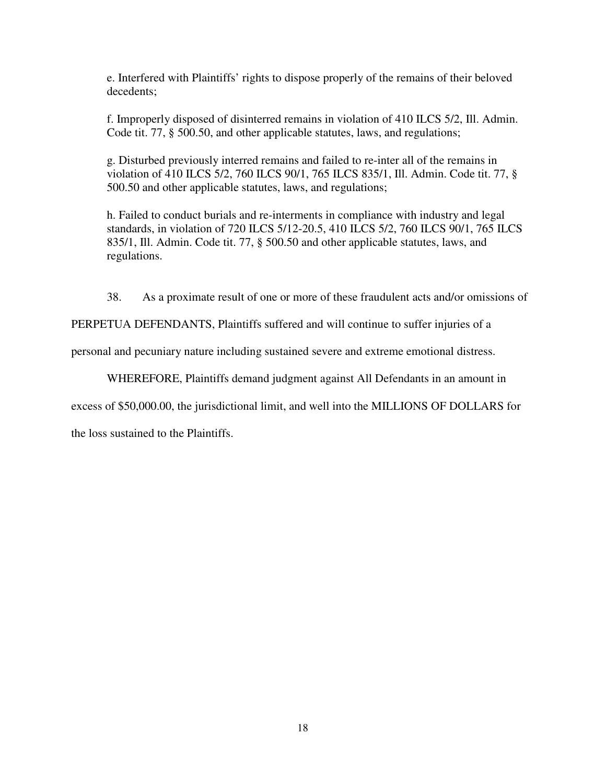e. Interfered with Plaintiffs' rights to dispose properly of the remains of their beloved decedents;

f. Improperly disposed of disinterred remains in violation of 410 ILCS 5/2, Ill. Admin. Code tit. 77, § 500.50, and other applicable statutes, laws, and regulations;

g. Disturbed previously interred remains and failed to re-inter all of the remains in violation of 410 ILCS 5/2, 760 ILCS 90/1, 765 ILCS 835/1, Ill. Admin. Code tit. 77, § 500.50 and other applicable statutes, laws, and regulations;

h. Failed to conduct burials and re-interments in compliance with industry and legal standards, in violation of 720 ILCS 5/12-20.5, 410 ILCS 5/2, 760 ILCS 90/1, 765 ILCS 835/1, Ill. Admin. Code tit. 77, § 500.50 and other applicable statutes, laws, and regulations.

38. As a proximate result of one or more of these fraudulent acts and/or omissions of

PERPETUA DEFENDANTS, Plaintiffs suffered and will continue to suffer injuries of a

personal and pecuniary nature including sustained severe and extreme emotional distress.

WHEREFORE, Plaintiffs demand judgment against All Defendants in an amount in

excess of \$50,000.00, the jurisdictional limit, and well into the MILLIONS OF DOLLARS for

the loss sustained to the Plaintiffs.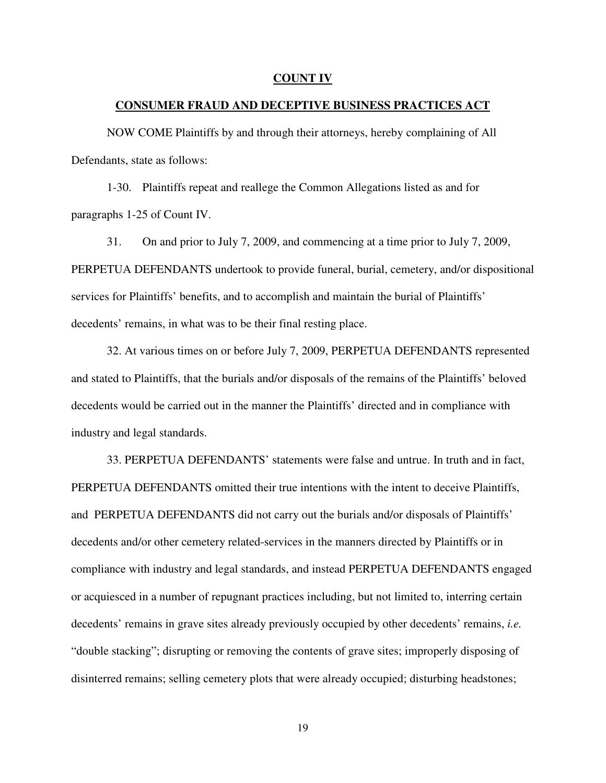#### **COUNT IV**

#### **CONSUMER FRAUD AND DECEPTIVE BUSINESS PRACTICES ACT**

 NOW COME Plaintiffs by and through their attorneys, hereby complaining of All Defendants, state as follows:

 1-30. Plaintiffs repeat and reallege the Common Allegations listed as and for paragraphs 1-25 of Count IV.

 31. On and prior to July 7, 2009, and commencing at a time prior to July 7, 2009, PERPETUA DEFENDANTS undertook to provide funeral, burial, cemetery, and/or dispositional services for Plaintiffs' benefits, and to accomplish and maintain the burial of Plaintiffs' decedents' remains, in what was to be their final resting place.

 32. At various times on or before July 7, 2009, PERPETUA DEFENDANTS represented and stated to Plaintiffs, that the burials and/or disposals of the remains of the Plaintiffs' beloved decedents would be carried out in the manner the Plaintiffs' directed and in compliance with industry and legal standards.

 33. PERPETUA DEFENDANTS' statements were false and untrue. In truth and in fact, PERPETUA DEFENDANTS omitted their true intentions with the intent to deceive Plaintiffs, and PERPETUA DEFENDANTS did not carry out the burials and/or disposals of Plaintiffs' decedents and/or other cemetery related-services in the manners directed by Plaintiffs or in compliance with industry and legal standards, and instead PERPETUA DEFENDANTS engaged or acquiesced in a number of repugnant practices including, but not limited to, interring certain decedents' remains in grave sites already previously occupied by other decedents' remains, *i.e.*  "double stacking"; disrupting or removing the contents of grave sites; improperly disposing of disinterred remains; selling cemetery plots that were already occupied; disturbing headstones;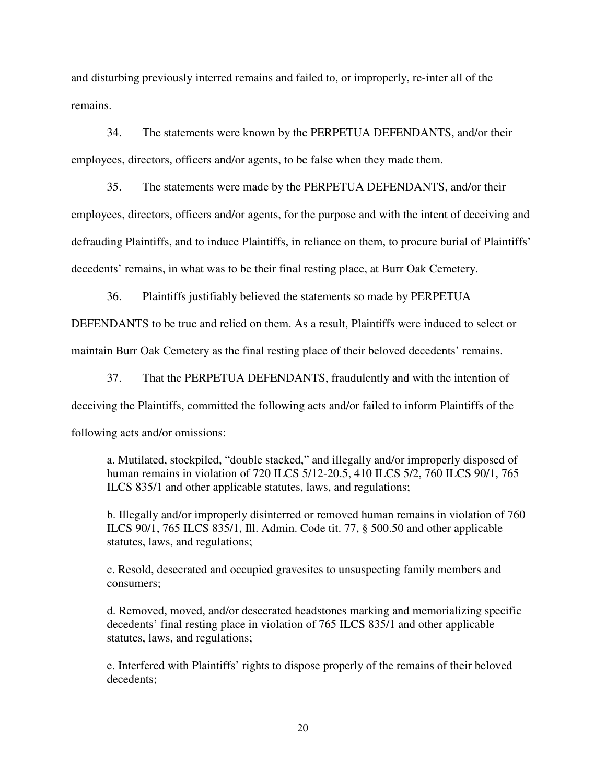and disturbing previously interred remains and failed to, or improperly, re-inter all of the remains.

 34. The statements were known by the PERPETUA DEFENDANTS, and/or their employees, directors, officers and/or agents, to be false when they made them.

 35. The statements were made by the PERPETUA DEFENDANTS, and/or their employees, directors, officers and/or agents, for the purpose and with the intent of deceiving and defrauding Plaintiffs, and to induce Plaintiffs, in reliance on them, to procure burial of Plaintiffs' decedents' remains, in what was to be their final resting place, at Burr Oak Cemetery.

36. Plaintiffs justifiably believed the statements so made by PERPETUA

DEFENDANTS to be true and relied on them. As a result, Plaintiffs were induced to select or maintain Burr Oak Cemetery as the final resting place of their beloved decedents' remains.

 37. That the PERPETUA DEFENDANTS, fraudulently and with the intention of deceiving the Plaintiffs, committed the following acts and/or failed to inform Plaintiffs of the following acts and/or omissions:

a. Mutilated, stockpiled, "double stacked," and illegally and/or improperly disposed of human remains in violation of 720 ILCS 5/12-20.5, 410 ILCS 5/2, 760 ILCS 90/1, 765 ILCS 835/1 and other applicable statutes, laws, and regulations;

b. Illegally and/or improperly disinterred or removed human remains in violation of 760 ILCS 90/1, 765 ILCS 835/1, Ill. Admin. Code tit. 77, § 500.50 and other applicable statutes, laws, and regulations;

c. Resold, desecrated and occupied gravesites to unsuspecting family members and consumers;

d. Removed, moved, and/or desecrated headstones marking and memorializing specific decedents' final resting place in violation of 765 ILCS 835/1 and other applicable statutes, laws, and regulations;

e. Interfered with Plaintiffs' rights to dispose properly of the remains of their beloved decedents;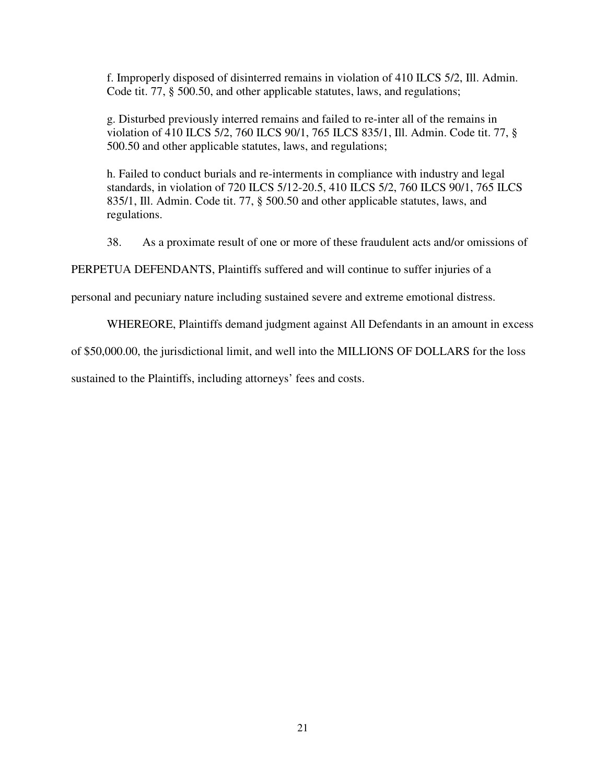f. Improperly disposed of disinterred remains in violation of 410 ILCS 5/2, Ill. Admin. Code tit. 77, § 500.50, and other applicable statutes, laws, and regulations;

g. Disturbed previously interred remains and failed to re-inter all of the remains in violation of 410 ILCS 5/2, 760 ILCS 90/1, 765 ILCS 835/1, Ill. Admin. Code tit. 77, § 500.50 and other applicable statutes, laws, and regulations;

h. Failed to conduct burials and re-interments in compliance with industry and legal standards, in violation of 720 ILCS 5/12-20.5, 410 ILCS 5/2, 760 ILCS 90/1, 765 ILCS 835/1, Ill. Admin. Code tit. 77, § 500.50 and other applicable statutes, laws, and regulations.

38. As a proximate result of one or more of these fraudulent acts and/or omissions of

PERPETUA DEFENDANTS, Plaintiffs suffered and will continue to suffer injuries of a

personal and pecuniary nature including sustained severe and extreme emotional distress.

WHEREORE, Plaintiffs demand judgment against All Defendants in an amount in excess

of \$50,000.00, the jurisdictional limit, and well into the MILLIONS OF DOLLARS for the loss

sustained to the Plaintiffs, including attorneys' fees and costs.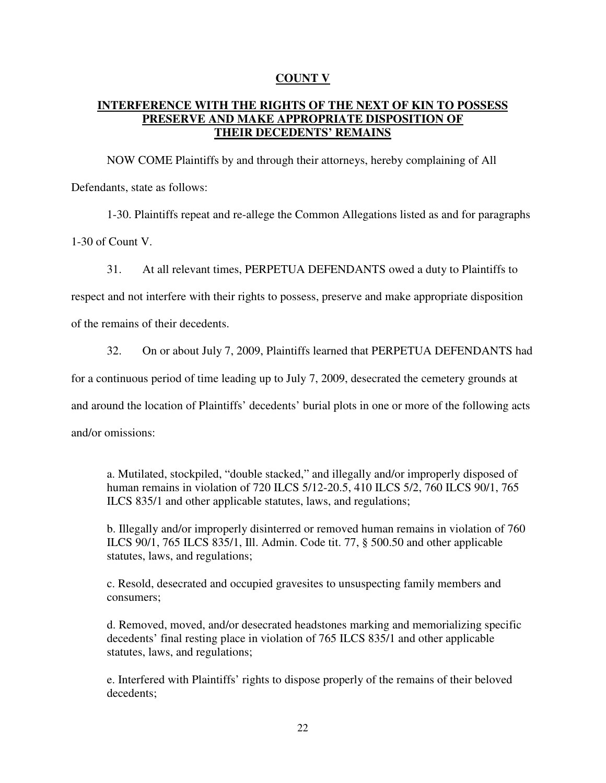# **COUNT V**

# **INTERFERENCE WITH THE RIGHTS OF THE NEXT OF KIN TO POSSESS PRESERVE AND MAKE APPROPRIATE DISPOSITION OF THEIR DECEDENTS' REMAINS**

 NOW COME Plaintiffs by and through their attorneys, hereby complaining of All Defendants, state as follows:

1-30. Plaintiffs repeat and re-allege the Common Allegations listed as and for paragraphs

1-30 of Count V.

31. At all relevant times, PERPETUA DEFENDANTS owed a duty to Plaintiffs to

respect and not interfere with their rights to possess, preserve and make appropriate disposition

of the remains of their decedents.

32. On or about July 7, 2009, Plaintiffs learned that PERPETUA DEFENDANTS had

for a continuous period of time leading up to July 7, 2009, desecrated the cemetery grounds at

and around the location of Plaintiffs' decedents' burial plots in one or more of the following acts

and/or omissions:

a. Mutilated, stockpiled, "double stacked," and illegally and/or improperly disposed of human remains in violation of 720 ILCS 5/12-20.5, 410 ILCS 5/2, 760 ILCS 90/1, 765 ILCS 835/1 and other applicable statutes, laws, and regulations;

b. Illegally and/or improperly disinterred or removed human remains in violation of 760 ILCS 90/1, 765 ILCS 835/1, Ill. Admin. Code tit. 77, § 500.50 and other applicable statutes, laws, and regulations;

c. Resold, desecrated and occupied gravesites to unsuspecting family members and consumers;

d. Removed, moved, and/or desecrated headstones marking and memorializing specific decedents' final resting place in violation of 765 ILCS 835/1 and other applicable statutes, laws, and regulations;

e. Interfered with Plaintiffs' rights to dispose properly of the remains of their beloved decedents;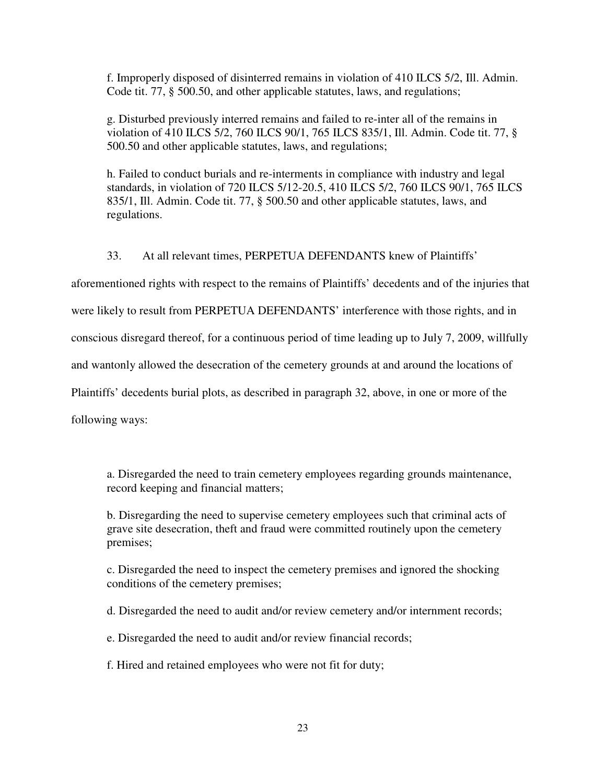f. Improperly disposed of disinterred remains in violation of 410 ILCS 5/2, Ill. Admin. Code tit. 77, § 500.50, and other applicable statutes, laws, and regulations;

g. Disturbed previously interred remains and failed to re-inter all of the remains in violation of 410 ILCS 5/2, 760 ILCS 90/1, 765 ILCS 835/1, Ill. Admin. Code tit. 77, § 500.50 and other applicable statutes, laws, and regulations;

h. Failed to conduct burials and re-interments in compliance with industry and legal standards, in violation of 720 ILCS 5/12-20.5, 410 ILCS 5/2, 760 ILCS 90/1, 765 ILCS 835/1, Ill. Admin. Code tit. 77, § 500.50 and other applicable statutes, laws, and regulations.

33. At all relevant times, PERPETUA DEFENDANTS knew of Plaintiffs'

aforementioned rights with respect to the remains of Plaintiffs' decedents and of the injuries that were likely to result from PERPETUA DEFENDANTS' interference with those rights, and in conscious disregard thereof, for a continuous period of time leading up to July 7, 2009, willfully and wantonly allowed the desecration of the cemetery grounds at and around the locations of Plaintiffs' decedents burial plots, as described in paragraph 32, above, in one or more of the following ways:

a. Disregarded the need to train cemetery employees regarding grounds maintenance, record keeping and financial matters;

b. Disregarding the need to supervise cemetery employees such that criminal acts of grave site desecration, theft and fraud were committed routinely upon the cemetery premises;

c. Disregarded the need to inspect the cemetery premises and ignored the shocking conditions of the cemetery premises;

d. Disregarded the need to audit and/or review cemetery and/or internment records;

e. Disregarded the need to audit and/or review financial records;

f. Hired and retained employees who were not fit for duty;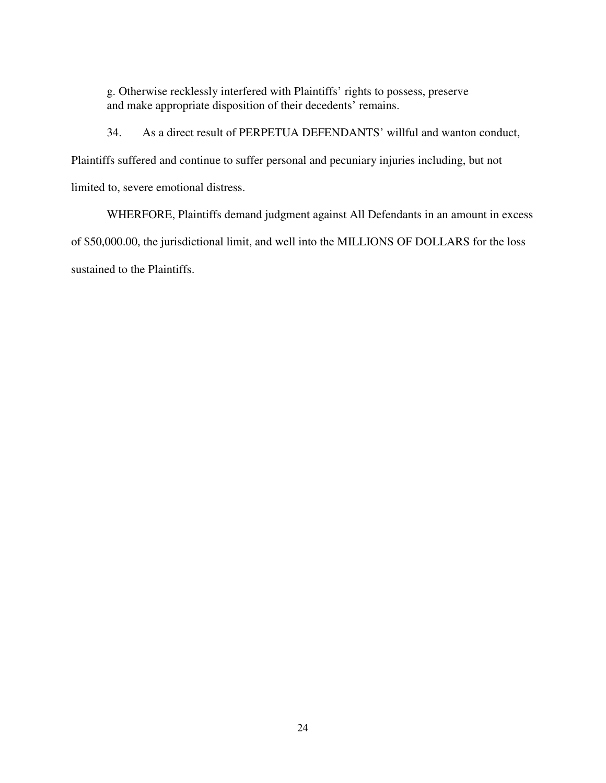g. Otherwise recklessly interfered with Plaintiffs' rights to possess, preserve and make appropriate disposition of their decedents' remains.

34. As a direct result of PERPETUA DEFENDANTS' willful and wanton conduct,

Plaintiffs suffered and continue to suffer personal and pecuniary injuries including, but not

limited to, severe emotional distress.

 WHERFORE, Plaintiffs demand judgment against All Defendants in an amount in excess of \$50,000.00, the jurisdictional limit, and well into the MILLIONS OF DOLLARS for the loss sustained to the Plaintiffs.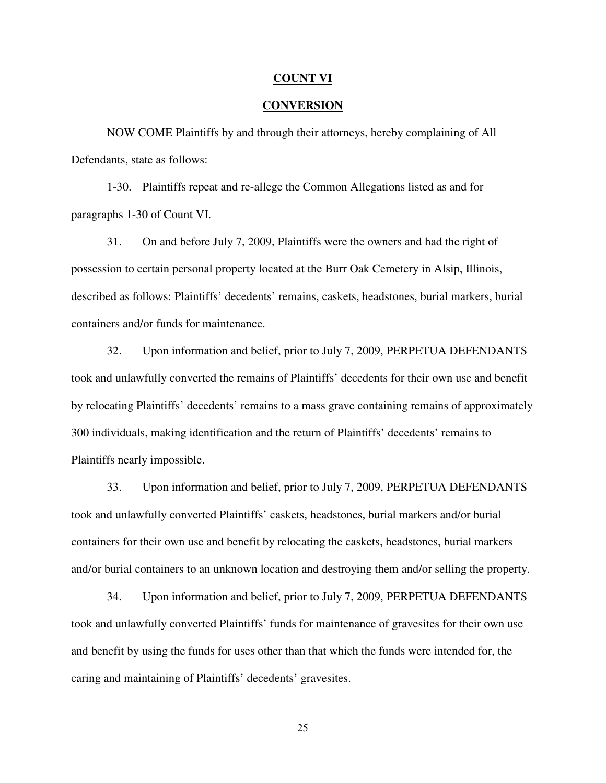#### **COUNT VI**

### **CONVERSION**

NOW COME Plaintiffs by and through their attorneys, hereby complaining of All Defendants, state as follows:

 1-30. Plaintiffs repeat and re-allege the Common Allegations listed as and for paragraphs 1-30 of Count VI.

 31. On and before July 7, 2009, Plaintiffs were the owners and had the right of possession to certain personal property located at the Burr Oak Cemetery in Alsip, Illinois, described as follows: Plaintiffs' decedents' remains, caskets, headstones, burial markers, burial containers and/or funds for maintenance.

 32. Upon information and belief, prior to July 7, 2009, PERPETUA DEFENDANTS took and unlawfully converted the remains of Plaintiffs' decedents for their own use and benefit by relocating Plaintiffs' decedents' remains to a mass grave containing remains of approximately 300 individuals, making identification and the return of Plaintiffs' decedents' remains to Plaintiffs nearly impossible.

 33. Upon information and belief, prior to July 7, 2009, PERPETUA DEFENDANTS took and unlawfully converted Plaintiffs' caskets, headstones, burial markers and/or burial containers for their own use and benefit by relocating the caskets, headstones, burial markers and/or burial containers to an unknown location and destroying them and/or selling the property.

 34. Upon information and belief, prior to July 7, 2009, PERPETUA DEFENDANTS took and unlawfully converted Plaintiffs' funds for maintenance of gravesites for their own use and benefit by using the funds for uses other than that which the funds were intended for, the caring and maintaining of Plaintiffs' decedents' gravesites.